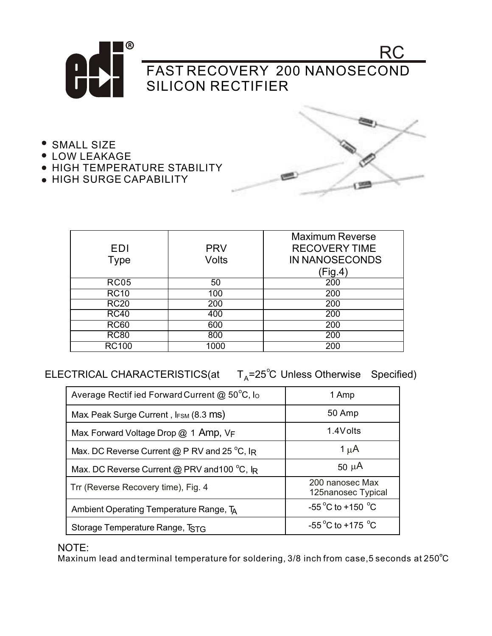

- SMALL SIZE
- **LOW LEAKAGE**
- **HIGH TEMPERATURE STABILITY**
- HIGH SURGE CAPABILITY



| EDI<br><b>Type</b> | <b>PRV</b><br><b>Volts</b> | <b>Maximum Reverse</b><br><b>RECOVERY TIME</b><br>IN NANOSECONDS |
|--------------------|----------------------------|------------------------------------------------------------------|
| <b>RC05</b>        | 50                         | (Fig.4)<br>200                                                   |
|                    |                            |                                                                  |
| <b>RC10</b>        | 100                        | 200                                                              |
| <b>RC20</b>        | 200                        | 200                                                              |
| <b>RC40</b>        | 400                        | 200                                                              |
| <b>RC60</b>        | 600                        | 200                                                              |
| <b>RC80</b>        | 800                        | 200                                                              |
| <b>RC100</b>       | 1000                       | 200                                                              |

 $\mathsf{ELECTRICAL}\ \mathsf{CHARACTERISTICS}(\mathsf{at} \hspace{0.5cm} \mathsf{T_A=25^{\circ}C}\ \mathsf{Unless}\ \mathsf{Otherwise}\hspace{0.5cm}\mathsf{Specified})$ 

| Average Rectif ied Forward Current @ 50°C, lo          | 1 Amp                                 |
|--------------------------------------------------------|---------------------------------------|
| Max Peak Surge Current, I <sub>FSM</sub> (8.3 MS)      | 50 Amp                                |
| Max Forward Voltage Drop $@$ 1 Amp, $V_F$              | 1.4Volts                              |
| Max. DC Reverse Current @ P RV and 25 $^{\circ}$ C, IR | 1 $\mu$ A                             |
| Max. DC Reverse Current @ PRV and 100 °C, IR           | $50 \mu A$                            |
| Trr (Reverse Recovery time), Fig. 4                    | 200 nanosec Max<br>125nanosec Typical |
| Ambient Operating Temperature Range, TA                | -55 °C to +150 °C                     |
| Storage Temperature Range, TSTG                        | -55 °C to +175 °C                     |

NOTE:

Maxinum lead and terminal temperature for soldering, 3/8 inch from case,5 seconds at 250°C